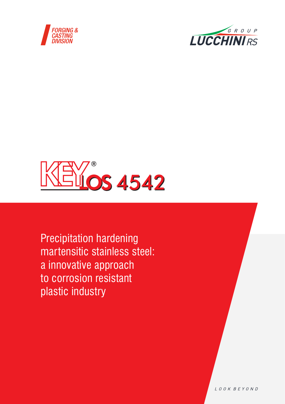





Precipitation hardening martensitic stainless steel: a innovative approach to corrosion resistant plastic industry

LOOK BEYOND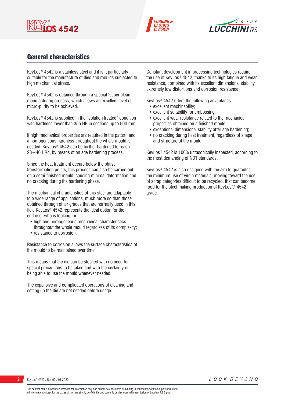





## General characteristics

KeyLos® 4542 is a stainless steel and it is it particularly suitable for the manufacture of dies and moulds subjected to high mechanical stress.

KeyLos® 4542 is obtained through a special 'super clean' manufacturing process, which allows an excellent level of micro-purity to be achieved.

KeyLos® 4542 is supplied in the "solution treated" condition with hardness lower than 355 HB in sections up to 500 mm.

If high mechanical properties are required in the pattern and a homogeneous hardness throughout the whole mould is needed, KeyLos® 4542 can be further hardened to reach  $28 \div 40$  HRc, by means of an age hardening process.

Since the heat treatment occurs below the phase transformation points, this process can also be carried out on a semi-finished mould, causing minimal deformation and no cracking during the hardening phase.

The mechanical characteristics of this steel are adaptable to a wide range of applications, much more so than those obtained through other grades that are normally used in this field KeyLos® 4542 represents the ideal option for the end user who is looking for:

- high and homogeneous mechanical characteristics throughout the whole mould regardless of its complexity;
- resistance to corrosion.

Resistance to corrosion allows the surface characteristics of the mould to be maintained over time.

This means that the die can be stocked with no need for special precautions to be taken and with the certainty of being able to use the mould whenever needed.

The expensive and complicated operations of cleaning and setting up the die are not needed before usage.

Constant development in processing technologies require the use of KeyLos® 4542, thanks to its high fatigue and wear resistance, combined with its excellent dimensional stability, extremely low distortions and corrosion resistance.

KeyLos® 4542 offers the following advantages:

- excellent machinability:
- excellent suitability for embossing;
- excellent wear resistance related to the mechanical properties obtained on a finished mould;
- exceptional dimensional stability after age hardening;
- no cracking during heat treatment, regardless of shape and structure of the mould;

KeyLos® 4542 is 100% ultrasonically inspected, according to the most demanding of NDT standards.

KeyLos® 4542 is also designed with the aim to guarantee the minimum use of virgin materials, moving toward the use of scrap categories difficult to be recycled, that can become food for the steel making production of KeyLos® 4542 grade.

```
2 KeyLos® 4542 / Rev.00 / 01.2020
```
The content of this brochure is intended for information only and cannot be considered as binding in connection with the supply of material. All information, except for the cases of law, are strictly confidential and can only be disclosed with permission of Lucchini RS S.p.A.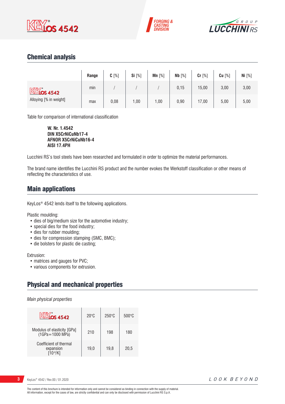





## Chemical analysis

|                        | Range | $C[\%]$ | Si [%] | Mn $[%]$ | Nb [%] | Cr [%] | $Cu$ [%] | Ni [%] |
|------------------------|-------|---------|--------|----------|--------|--------|----------|--------|
| $M*$ 4542              | min   |         |        |          | 0,15   | 15,00  | 3,00     | 3,00   |
| Alloying [% in weight] | max   | 0,08    | 1,00   | ,00      | 0,90   | 17,00  | 5,00     | 5,00   |

Table for comparison of international classification

**W. Nr. 1.4542 DIN X5CrNiCuNb17-4 AFNOR X5CrNiCuNb16-4 AISI 17.4PH**

Lucchini RS's tool steels have been researched and formulated in order to optimize the material performances.

The brand name identifies the Lucchini RS product and the number evokes the Werkstoff classification or other means of reflecting the characteristics of use.

## Main applications

KeyLos® 4542 lends itself to the following applications.

Plastic moulding:

- dies of big/medium size for the automotive industry;
- special dies for the food industry;
- dies for rubber moulding;
- dies for compression stamping (SMC, BMC);
- die bolsters for plastic die casting;

Extrusion:

- matrices and gauges for PVC;
- various components for extrusion.

# Physical and mechanical properties

*Main physical properties*

| <b>KEYOS 4542</b>                              | $20^{\circ}$ C | $250^\circ C$ | $500^{\circ}$ C |
|------------------------------------------------|----------------|---------------|-----------------|
| Modulus of elasticity [GPa]<br>(1GPa=1000 MPa) | 210            | 198           | 180             |
| Coefficient of thermal<br>expansion            | 19.0           | 19.8          | 20.5            |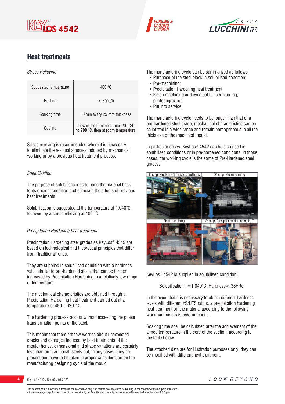





# Heat treatments

#### *Stress Relieving*

| Suggested temperature | 400 $^{\circ}$ C                                                                   |
|-----------------------|------------------------------------------------------------------------------------|
| Heating               | $<$ 30 $\degree$ C/h                                                               |
| Soaking time          | 60 min every 25 mm thickness                                                       |
| Cooling               | slow in the furnace at max 20 $\degree$ C/h<br>to 200 °C, then at room temperature |

Stress relieving is recommended where it is necessary to eliminate the residual stresses induced by mechanical working or by a previous heat treatment process.

### *Solubilisation*

The purpose of solubilisation is to bring the material back to its original condition and eliminate the effects of previous heat treatments.

Solubilisation is suggested at the temperature of 1.040°C, followed by a stress relieving at 400 °C.

### *Precipitation Hardening heat treatment*

Precipitation Hardening steel grades as KeyLos® 4542 are based on technological and theoretical principles that differ from 'traditional' ones.

They are supplied in solubilised condition with a hardness value similar to pre-hardened steels that can be further increased by Precipitation Hardening in a relatively low range of temperature.

The mechanical characteristics are obtained through a Precipitation Hardening heat treatment carried out at a temperature of 480 – 620 °C.

The hardening process occurs without exceeding the phase transformation points of the steel.

This means that there are few worries about unexpected cracks and damages induced by heat treatments of the mould; hence, dimensional and shape variations are certainly less than on 'traditional' steels but, in any cases, they are present and have to be taken in proper consideration on the manufacturing designing cycle of the mould.

The manufacturing cycle can be summarized as follows:

- Purchase of the steel block in solubilised condition;
- Pre-machining;
- Precipitation Hardening heat treatment;
- Finish machining and eventual further nitriding, photoengraving;
- Put into service.

The manufacturing cycle needs to be longer than that of a pre-hardened steel grade; mechanical characteristics can be calibrated in a wide range and remain homogeneous in all the thickness of the machined mould.

In particular cases, KeyLos® 4542 can be also used in solubilised conditions or in pre-hardened conditions: in those cases, the working cycle is the same of Pre-Hardened steel grades.



KeyLos® 4542 is supplied in solubilised condition:

Solubilisation T=1.040°C; Hardness< 38HRc.

In the event that it is necessary to obtain different hardness levels with different YS/UTS ratios, a precipitation hardening heat treatment on the material according to the following work parameters is recommended.

Soaking time shall be calculated after the achievement of the aimed temperature in the core of the section, according to the table below.

The attached data are for illustration purposes only; they can be modified with different heat treatment.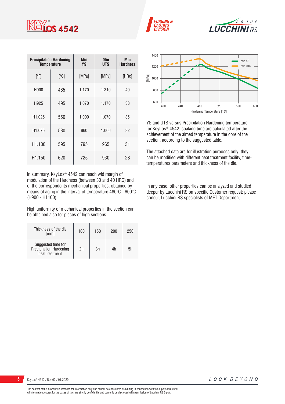

|                    | <b>Precipitation Hardening</b><br>Temperature | Min<br><b>YS</b> | Min<br><b>UTS</b> | <b>Min</b><br><b>Hardness</b> |
|--------------------|-----------------------------------------------|------------------|-------------------|-------------------------------|
| [°F]               | [°C]                                          | [MPa]            | [MPa]             | [HRc]                         |
| H900               | 485                                           | 1.170            | 1.310             | 40                            |
| H925               | 495                                           | 1.070            | 1.170             | 38                            |
| H1.025             | 550                                           | 1.000            | 1.070             | 35                            |
| H <sub>1.075</sub> | 580                                           | 860              | 1.000             | 32                            |
| H1.100             | 595                                           | 795              | 965               | 31                            |
| H <sub>1.150</sub> | 620                                           | 725              | 930               | 28                            |

In summary, KeyLos® 4542 can reach wid margin of modulation of the Hardness (between 30 and 40 HRC) and of the correspondents mechanical properties, obtained by means of aging in the interval of temperature 480°C - 600°C (H900 - H1100).

High uniformity of mechanical properties in the section can be obtained also for pieces of high sections.

| Thickness of the die<br>[mm]                                    | 100 | 150 | 200 | 250 |
|-----------------------------------------------------------------|-----|-----|-----|-----|
| Suggested time for<br>Precipitation Hardening<br>heat treatment | 2h  | 3h  | 4h  | .5h |







YS and UTS versus Precipitation Hardening temperature for KeyLos® 4542; soaking time are calculated after the achievement of the aimed temperature in the core of the section, according to the suggested table.

The attached data are for illustration purposes only; they can be modified with different heat treatment facility, timetemperatures parameters and thickness of the die.

In any case, other properties can be analyzed and studied deeper by Lucchini RS on specific Customer request: please consult Lucchini RS specialists of MET Department.

LOOK BEYOND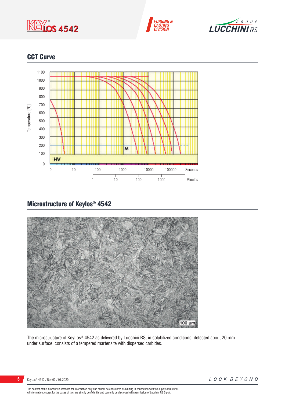





## CCT Curve



# Microstructure of Keylos® 4542



The microstructure of KeyLos® 4542 as delivered by Lucchini RS, in solubilized conditions, detected about 20 mm under surface, consists of a tempered martensite with dispersed carbides.

The content of this brochure is intended for information only and cannot be considered as binding in connection with the supply of material.<br>All information, except for the cases of law, are strictly confidential and can o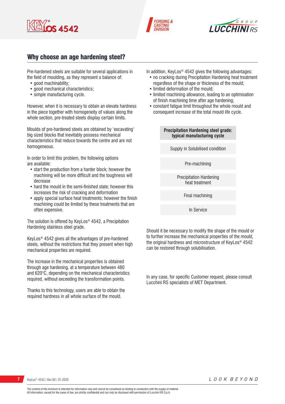





## Why choose an age hardening steel?

Pre-hardened steels are suitable for several applications in the field of moulding, as they represent a balance of:

- good machinability:
- good mechanical characteristics:
- simple manufacturing cycle.

However, when it is necessary to obtain an elevate hardness in the piece together with homogeneity of values along the whole section, pre-treated steels display certain limits.

Moulds of pre-hardened steels are obtained by 'excavating' big sized blocks that inevitably possess mechanical characteristics that reduce towards the centre and are not homogeneous.

In order to limit this problem, the following options are available:

- start the production from a harder block; however the machining will be more difficult and the toughness will decrease
- hard the mould in the semi-finished state; however this increases the risk of cracking and deformation
- apply special surface heat treatments; however the finish machining could be limited by these treatments that are often expensive.

The solution is offered by KeyLos® 4542, a Precipitation Hardening stainless steel grade.

KeyLos® 4542 gives all the advantages of pre-hardened steels, without the restrictions that they present when high mechanical properties are required.

The increase in the mechanical properties is obtained through age hardening, at a temperature between 480 and 620°C, depending on the mechanical characteristics required, without exceeding the transformation points.

Thanks to this technology, users are able to obtain the required hardness in all whole surface of the mould.

In addition, KeyLos® 4542 gives the following advantages:

- no cracking during Precipitation Hardening heat treatment regardless of the shape or thickness of the mould;
- limited deformation of the mould;
- limited machining allowance, leading to an optimisation of finish machining time after age hardening;
- constant fatigue limit throughout the whole mould and consequent increase of the total mould life cycle.

#### **Precipitation Hardening steel grade: typical manufacturing cycle**

Supply in Solubilised condition

Pre-machining

Precipitation Hardening heat treatment

Final machining

In Service

Should it be necessary to modify the shape of the mould or to further increase the mechanical properties of the mould, the original hardness and microstructure of KeyLos® 4542 can be restored through solubilisation.

In any case, for specific Customer request, please consult Lucchini RS specialists of MET Department.

LOOK BEYOND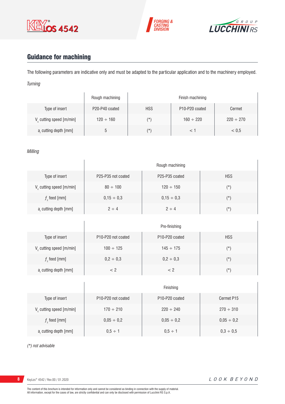





# Guidance for machining

The following parameters are indicative only and must be adapted to the particular application and to the machinery employed. *Turning*

|                                      | Rough machining |            | Finish machining                        |                |  |  |  |
|--------------------------------------|-----------------|------------|-----------------------------------------|----------------|--|--|--|
| Type of insert                       | P20-P40 coated  | <b>HSS</b> | P <sub>10</sub> -P <sub>20</sub> coated | Cermet         |  |  |  |
| V <sub>c</sub> cutting speed [m/min] | $120 \div 160$  | (*`        | $160 \div 220$                          | $220 \div 270$ |  |  |  |
| a, cutting depth [mm]                | ა               | (*)        |                                         | < 0.5          |  |  |  |

### *Milling*

|                             | Rough machining    |                                         |            |  |  |  |  |
|-----------------------------|--------------------|-----------------------------------------|------------|--|--|--|--|
| Type of insert              | P25-P35 not coated | P <sub>25</sub> -P <sub>35</sub> coated | <b>HSS</b> |  |  |  |  |
| $V_c$ cutting speed [m/min] | $80 \div 100$      | $120 \div 150$                          | $(\star)$  |  |  |  |  |
| $fz$ feed [mm]              | $0,15 \div 0,3$    | $0,15 \div 0,3$                         | $(\star)$  |  |  |  |  |
| $ar$ cutting depth [mm]     | $2 \div 4$         | $2 \div 4$                              | $(\star)$  |  |  |  |  |

|                                      |                                             | Pre-finishing                           |            |
|--------------------------------------|---------------------------------------------|-----------------------------------------|------------|
| Type of insert                       | P <sub>10</sub> -P <sub>20</sub> not coated | P <sub>10</sub> -P <sub>20</sub> coated | <b>HSS</b> |
| V <sub>c</sub> cutting speed [m/min] | $100 \div 125$                              | $145 \div 175$                          | $(\star)$  |
| $fz$ feed [mm]                       | $0,2 \div 0,3$                              | $0,2 \div 0,3$                          | $(\star)$  |
| a, cutting depth [mm]                | < 2                                         | < 2                                     | $(\star)$  |

|                                      |                                             | Finishing                               |                 |
|--------------------------------------|---------------------------------------------|-----------------------------------------|-----------------|
| Type of insert                       | P <sub>10</sub> -P <sub>20</sub> not coated | P <sub>10</sub> -P <sub>20</sub> coated | Cermet P15      |
| V <sub>c</sub> cutting speed [m/min] | $170 \div 210$                              | $220 \div 240$                          | $270 \div 310$  |
| $f$ , feed [mm]                      | $0,05 \div 0,2$                             | $0,05 \div 0,2$                         | $0,05 \div 0,2$ |
| a, cutting depth [mm]                | $0,5 \div 1$                                | $0.5 \div 1$                            | $0,3 \div 0,5$  |

*(\*) not advisable*

**8** KeyLos® 4542 / Rev.00 / 01.2020

 $\overline{1}$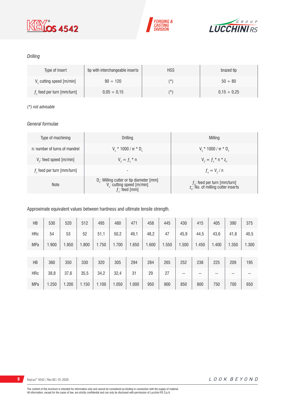





### *Drilling*

| Type of insert               | tip with interchangeable inserts | <b>HSS</b> | brazed tip       |
|------------------------------|----------------------------------|------------|------------------|
| V cutting speed [m/min]      | $90 \div 120$                    | (*         | $50 \div 80$     |
| $fz$ feed per turn [mm/turn] | $0.05 \div 0.15$                 | (*         | $0.15 \div 0.25$ |

### *(\*) not advisable*

### *General formulae*

| Type of machining             | Drilling                                                                                                 | Milling                                                                             |
|-------------------------------|----------------------------------------------------------------------------------------------------------|-------------------------------------------------------------------------------------|
| n: number of turns of mandrel | $V_r * 1000 / \pi * D_r$                                                                                 | $V_r * 1000 / \pi * D_r$                                                            |
| $Vf$ : feed speed [m/min]     | $V_{f} = f_{7}$ * n                                                                                      | $V_{f} = f_{i} * n * z_{n}$                                                         |
| $fz$ feed per turn [mm/turn]  | $\overline{\phantom{a}}$                                                                                 | $f_{n} = V_{f} / n$                                                                 |
| <b>Note</b>                   | D <sub>r</sub> : Milling cutter or tip diameter [mm]<br>$V_c$ : cutting speed [m/min]<br>$f$ ; feed [mm] | $f_{n}$ : feed per turn [mm/turn]<br>z <sub>n</sub> : No. of milling cutter inserts |

### Approximate equivalent values between hardness and ultimate tensile strength.

| HB         | 530   | 520   | 512   | 495   | 480   | 471   | 458   | 445   | 430   | 415   | 405   | 390   | 375   |
|------------|-------|-------|-------|-------|-------|-------|-------|-------|-------|-------|-------|-------|-------|
| HRc        | 54    | 53    | 52    | 51,1  | 50,2  | 49,1  | 48,2  | 47    | 45,9  | 44,5  | 43,6  | 41,8  | 40,5  |
| <b>MPa</b> | 1.900 | 1.850 | 1.800 | 1.750 | 1.700 | 1.650 | 1.600 | 1.550 | 1.500 | 1.450 | 1.400 | 1.350 | 1.300 |
|            |       |       |       |       |       |       |       |       |       |       |       |       |       |
| HB         | 360   | 350   | 330   | 320   | 305   | 294   | 284   | 265   | 252   | 238   | 225   | 209   | 195   |
| <b>HRc</b> | 38,8  | 37,6  | 35,5  | 34,2  | 32,4  | 31    | 29    | 27    | $- -$ | --    | --    | --    | --    |
| <b>MPa</b> | 1.250 | 1.200 | 1.150 | 1.100 | 1.050 | 1.000 | 950   | 900   | 850   | 800   | 750   | 700   | 650   |